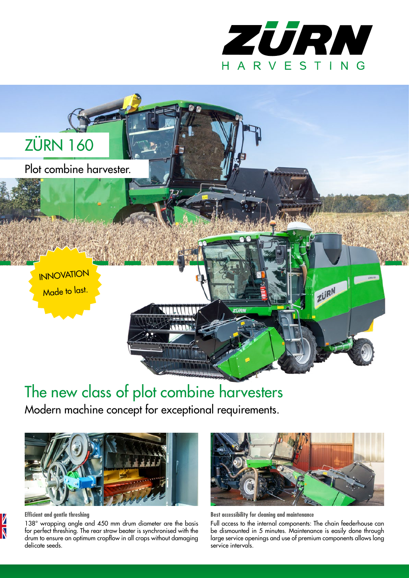



# The new class of plot combine harvesters

Modern machine concept for exceptional requirements.



## **Efficient and gentle threshing**

 $\frac{1}{N}$ 

138° wrapping angle and 450 mm drum diameter are the basis for perfect threshing. The rear straw beater is synchronised with the drum to ensure an optimum cropflow in all crops without damaging delicate seeds.



**Best accessibility for cleaning and maintenance**

Full access to the internal components: The chain feederhouse can be dismounted in 5 minutes. Maintenance is easily done through large service openings and use of premium components allows long service intervals.